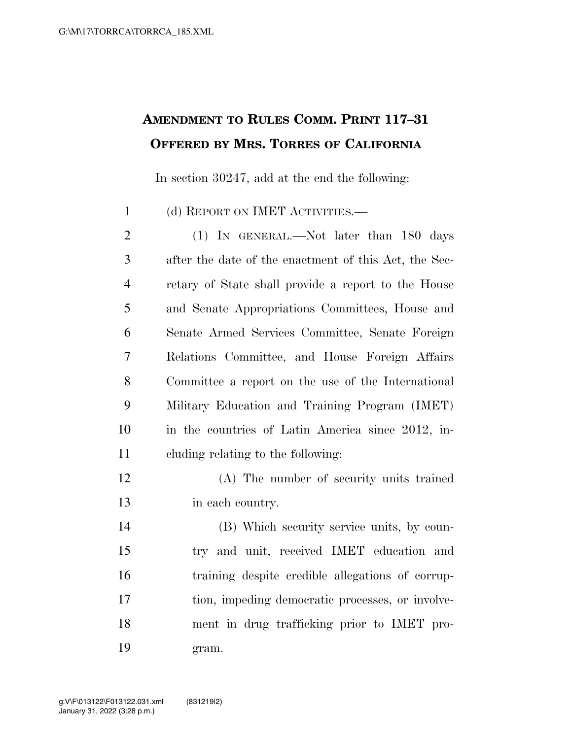## **AMENDMENT TO RULES COMM. PRINT 117–31 OFFERED BY MRS. TORRES OF CALIFORNIA**

In section 30247, add at the end the following:

(d) REPORT ON IMET ACTIVITIES.—

2 (1) In GENERAL.—Not later than 180 days after the date of the enactment of this Act, the Sec- retary of State shall provide a report to the House and Senate Appropriations Committees, House and Senate Armed Services Committee, Senate Foreign Relations Committee, and House Foreign Affairs Committee a report on the use of the International Military Education and Training Program (IMET) in the countries of Latin America since 2012, in-cluding relating to the following:

 (A) The number of security units trained in each country.

 (B) Which security service units, by coun- try and unit, received IMET education and training despite credible allegations of corrup- tion, impeding democratic processes, or involve- ment in drug trafficking prior to IMET pro-gram.